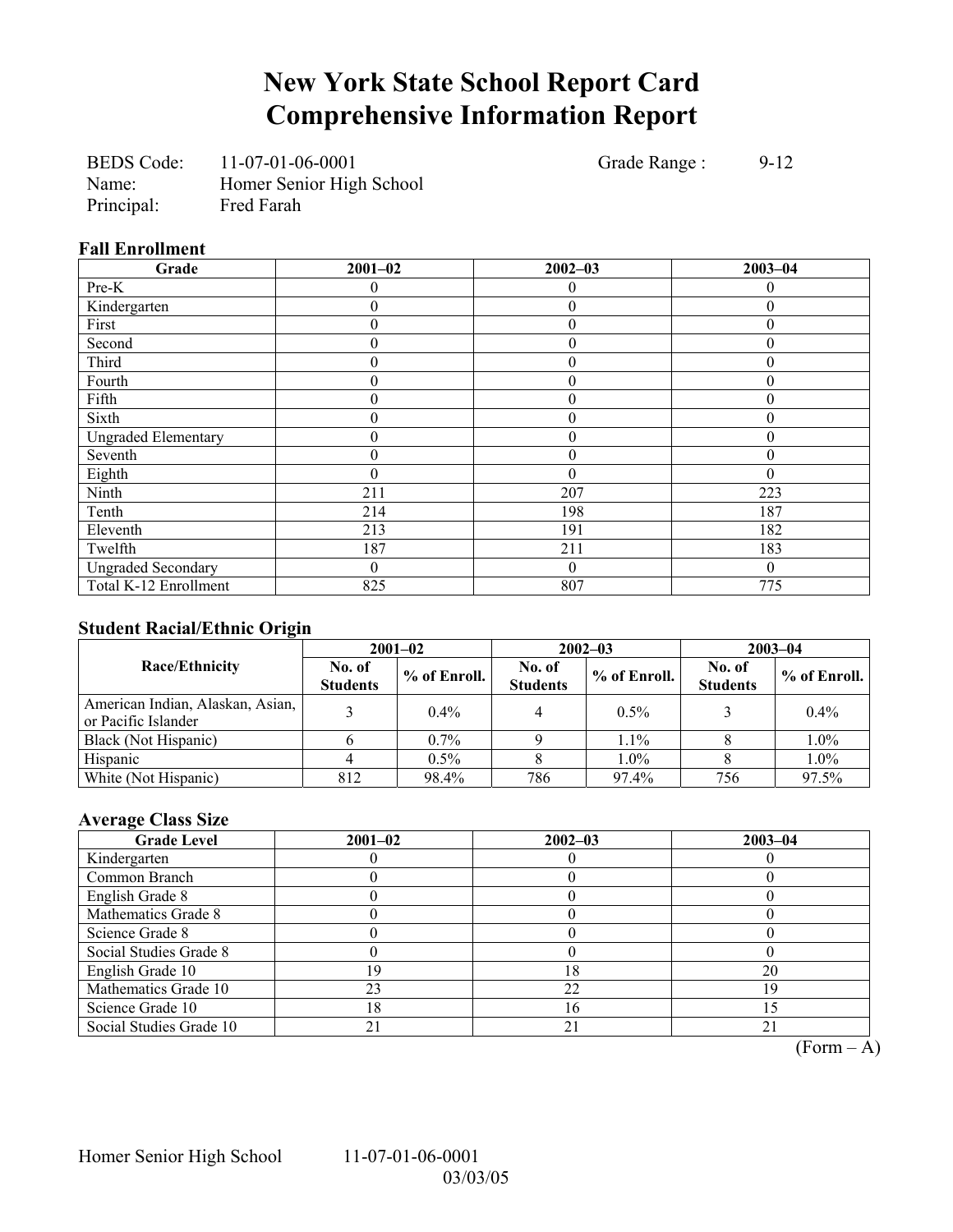## **New York State School Report Card Comprehensive Information Report**

BEDS Code: 11-07-01-06-0001 Grade Range : 9-12 Name: Homer Senior High School Principal: Fred Farah

### **Fall Enrollment**

| Grade                      | $2001 - 02$ | $2002 - 03$      | $2003 - 04$ |
|----------------------------|-------------|------------------|-------------|
| Pre-K                      |             | 0                | 0           |
| Kindergarten               | 0           | $\boldsymbol{0}$ | $\Omega$    |
| First                      | 0           | $\boldsymbol{0}$ |             |
| Second                     | 0           | $\overline{0}$   |             |
| Third                      | 0           | $\theta$         | 0           |
| Fourth                     | 0           | $\theta$         | $\theta$    |
| Fifth                      | $\theta$    | $\boldsymbol{0}$ | $\theta$    |
| Sixth                      | 0           | $\mathbf{0}$     | 0           |
| <b>Ungraded Elementary</b> | 0           | $\boldsymbol{0}$ | 0           |
| Seventh                    | 0           | $\overline{0}$   | 0           |
| Eighth                     | 0           | $\theta$         | $\theta$    |
| Ninth                      | 211         | 207              | 223         |
| Tenth                      | 214         | 198              | 187         |
| Eleventh                   | 213         | 191              | 182         |
| Twelfth                    | 187         | 211              | 183         |
| <b>Ungraded Secondary</b>  | 0           | $\mathbf{0}$     | $\theta$    |
| Total K-12 Enrollment      | 825         | 807              | 775         |

## **Student Racial/Ethnic Origin**

| ັ                                                       | $2001 - 02$               |                |                           | $2002 - 03$  | $2003 - 04$               |              |  |
|---------------------------------------------------------|---------------------------|----------------|---------------------------|--------------|---------------------------|--------------|--|
| <b>Race/Ethnicity</b>                                   | No. of<br><b>Students</b> | $%$ of Enroll. | No. of<br><b>Students</b> | % of Enroll. | No. of<br><b>Students</b> | % of Enroll. |  |
| American Indian, Alaskan, Asian,<br>or Pacific Islander |                           | $0.4\%$        |                           | $0.5\%$      |                           | $0.4\%$      |  |
| Black (Not Hispanic)                                    |                           | $0.7\%$        |                           | $1.1\%$      |                           | $1.0\%$      |  |
| Hispanic                                                |                           | $0.5\%$        |                           | $1.0\%$      |                           | 1.0%         |  |
| White (Not Hispanic)                                    | 812                       | 98.4%          | 786                       | 97.4%        | 756                       | 97.5%        |  |

### **Average Class Size**

| <b>Grade Level</b>      | $2001 - 02$ | $2002 - 03$ | $2003 - 04$ |
|-------------------------|-------------|-------------|-------------|
| Kindergarten            |             |             |             |
| Common Branch           |             |             |             |
| English Grade 8         |             |             |             |
| Mathematics Grade 8     |             |             |             |
| Science Grade 8         |             |             |             |
| Social Studies Grade 8  |             |             |             |
| English Grade 10        | -9          |             | 20          |
| Mathematics Grade 10    | 23          | 22          | 19          |
| Science Grade 10        | 8           | 16          |             |
| Social Studies Grade 10 |             | $2^{\circ}$ |             |

 $\overline{(Form - A)}$ 

Homer Senior High School 11-07-01-06-0001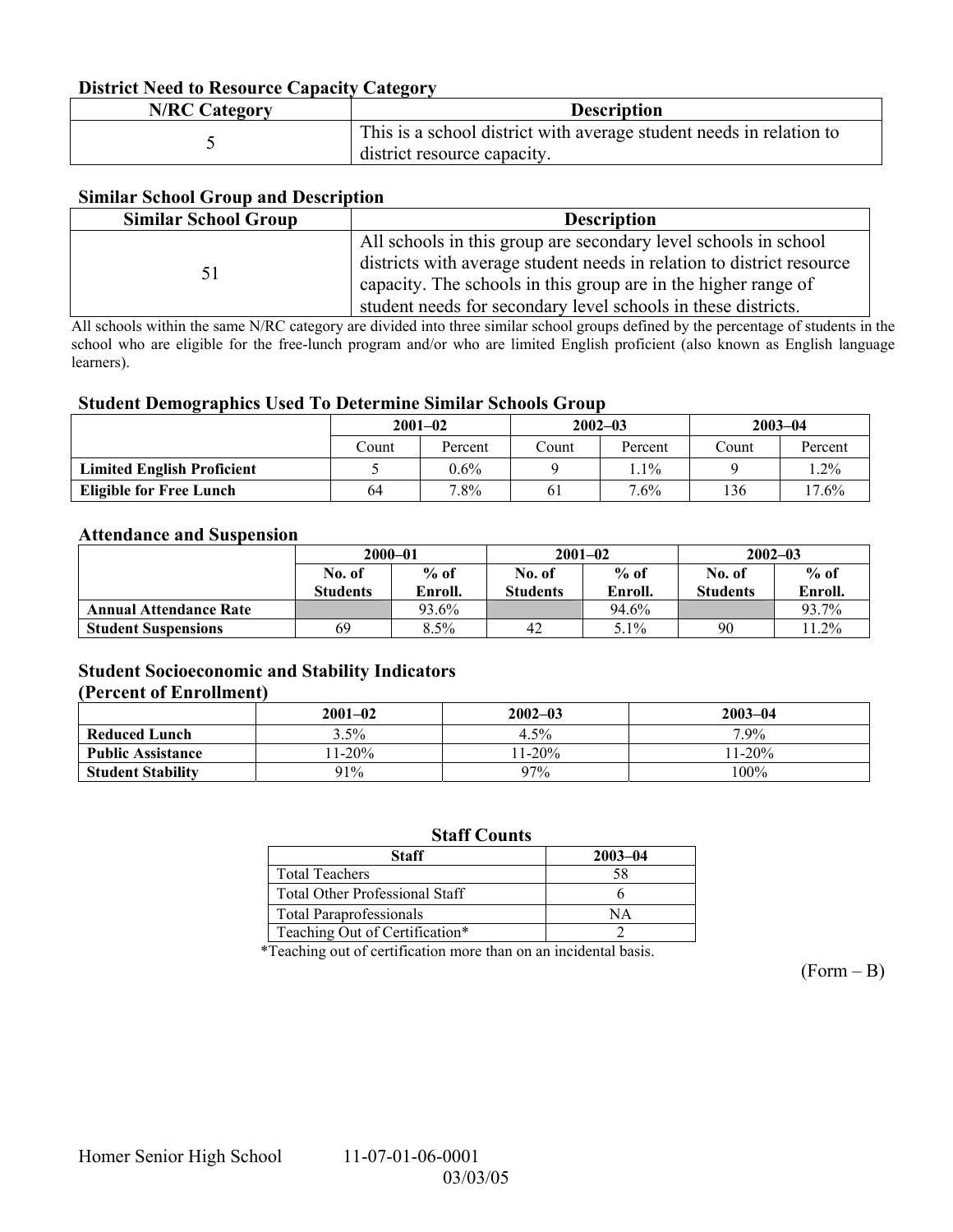### **District Need to Resource Capacity Category**

| <b>N/RC Category</b> | <b>Description</b>                                                  |
|----------------------|---------------------------------------------------------------------|
|                      | This is a school district with average student needs in relation to |
|                      | district resource capacity.                                         |

### **Similar School Group and Description**

| <b>Similar School Group</b> | <b>Description</b>                                                                                                                                                                                                                                                          |
|-----------------------------|-----------------------------------------------------------------------------------------------------------------------------------------------------------------------------------------------------------------------------------------------------------------------------|
| 51                          | All schools in this group are secondary level schools in school<br>districts with average student needs in relation to district resource<br>capacity. The schools in this group are in the higher range of<br>student needs for secondary level schools in these districts. |

All schools within the same N/RC category are divided into three similar school groups defined by the percentage of students in the school who are eligible for the free-lunch program and/or who are limited English proficient (also known as English language learners).

#### **Student Demographics Used To Determine Similar Schools Group**

|                                   | $2001 - 02$ |         | $2002 - 03$ |         | $2003 - 04$ |         |
|-----------------------------------|-------------|---------|-------------|---------|-------------|---------|
|                                   | Count       | Percent | Count       | Percent | Count       | Percent |
| <b>Limited English Proficient</b> |             | $0.6\%$ |             | $.1\%$  |             | . 2%    |
| <b>Eligible for Free Lunch</b>    | 64          | $7.8\%$ | 61          | $7.6\%$ | 136         | 17.6%   |

#### **Attendance and Suspension**

|                               | $2000 - 01$      |         |          | $2001 - 02$ | $2002 - 03$     |         |
|-------------------------------|------------------|---------|----------|-------------|-----------------|---------|
|                               | $%$ of<br>No. of |         | No. of   | $%$ of      | No. of          | $%$ of  |
|                               | <b>Students</b>  | Enroll. | Students | Enroll.     | <b>Students</b> | Enroll. |
| <b>Annual Attendance Rate</b> |                  | 93.6%   |          | 94.6%       |                 | 93.7%   |
| <b>Student Suspensions</b>    | 69               | 8.5%    | 42       | 5.1%        | 90              | $1.2\%$ |

### **Student Socioeconomic and Stability Indicators (Percent of Enrollment)**

### **2001-02 2002-03 2003-04 Reduced Lunch**  3.5% 1 4.5% 1.9% 7.9% **Public Assistance** 11-20% 11-20% 11-20% 11-20% 11-20% 11-20% 11-20% 11-20% 11-20% 11-20% 11-20% 11-20% 11-20% 11-20% 11-20% 11-20% 11-20% 11-20% 11-20% 11-20% 11-20% 11-20% 11-20% 11-20% 11-20% 11-20% 11-20% 11-20% 11-20% **Student Stability** 91% 97% 97% 100%

#### **Staff Counts**

| Staff                                 | $2003 - 04$ |
|---------------------------------------|-------------|
| <b>Total Teachers</b>                 |             |
| <b>Total Other Professional Staff</b> |             |
| <b>Total Paraprofessionals</b>        | NΔ          |
| Teaching Out of Certification*        |             |

\*Teaching out of certification more than on an incidental basis.

 $(Form - B)$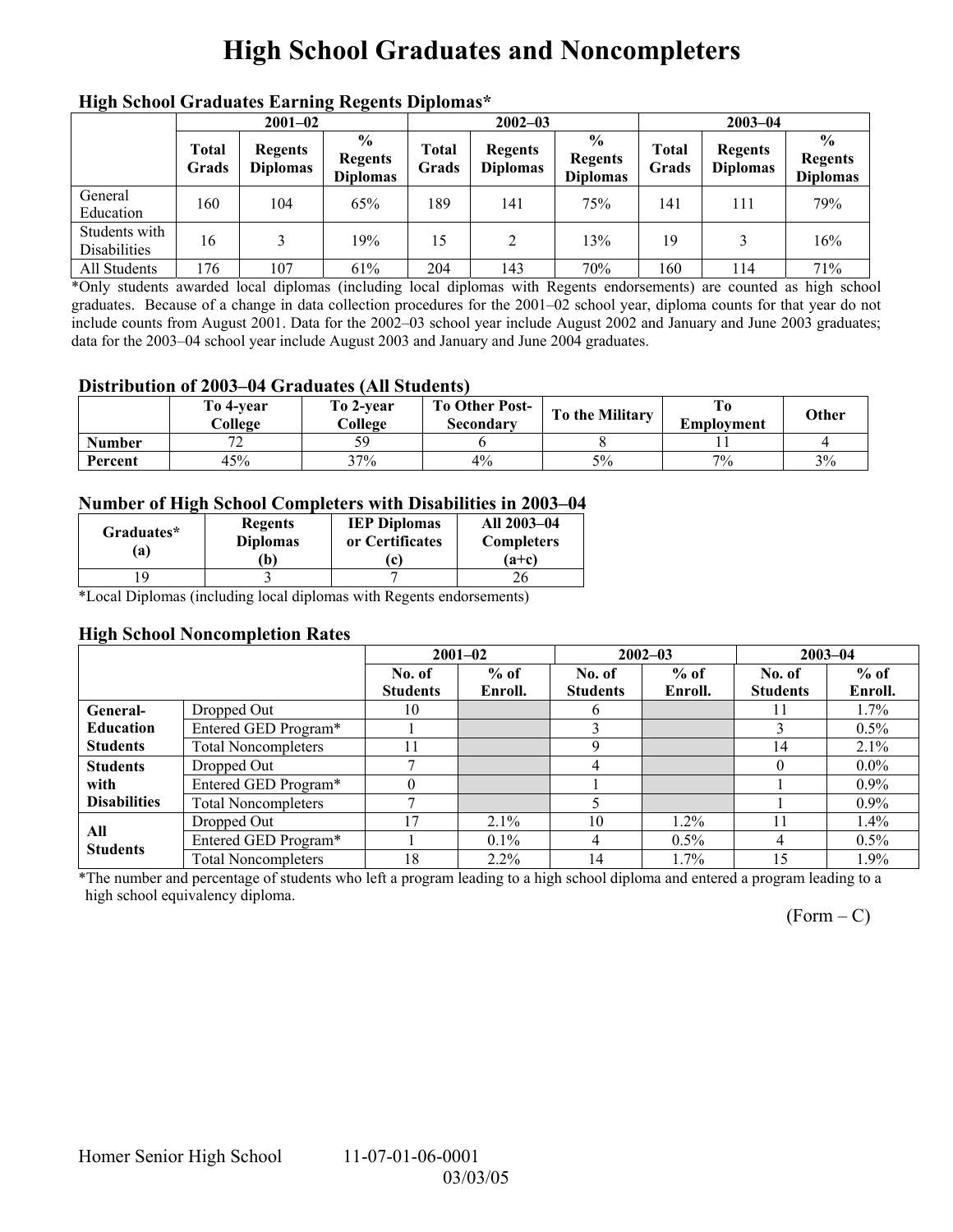## **High School Graduates and Noncompleters**

| mgn benoor Grauuates Larming regents Diplomas |                       |                                   |                                                     |                       |                                   |                                                    |                |                                   |                                                    |  |
|-----------------------------------------------|-----------------------|-----------------------------------|-----------------------------------------------------|-----------------------|-----------------------------------|----------------------------------------------------|----------------|-----------------------------------|----------------------------------------------------|--|
|                                               | $2001 - 02$           |                                   |                                                     |                       | $2002 - 03$                       |                                                    |                | $2003 - 04$                       |                                                    |  |
|                                               | <b>Total</b><br>Grads | <b>Regents</b><br><b>Diplomas</b> | $\frac{6}{10}$<br><b>Regents</b><br><b>Diplomas</b> | <b>Total</b><br>Grads | <b>Regents</b><br><b>Diplomas</b> | $\frac{0}{0}$<br><b>Regents</b><br><b>Diplomas</b> | Total<br>Grads | <b>Regents</b><br><b>Diplomas</b> | $\frac{0}{0}$<br><b>Regents</b><br><b>Diplomas</b> |  |
| General<br>Education                          | 160                   | 104                               | 65%                                                 | 189                   | 141                               | 75%                                                | 141            | 111                               | 79%                                                |  |
| Students with<br><b>Disabilities</b>          | 16                    |                                   | 19%                                                 | 15                    | 2                                 | 13%                                                | 19             |                                   | 16%                                                |  |
| All Students                                  | 176                   | 107                               | 61%                                                 | 204                   | 143                               | 70%                                                | 160            | 114                               | 71%                                                |  |

## **High School Graduates Earning Regents Diplomas\***

\*Only students awarded local diplomas (including local diplomas with Regents endorsements) are counted as high school graduates. Because of a change in data collection procedures for the 2001–02 school year, diploma counts for that year do not include counts from August 2001. Data for the 2002–03 school year include August 2002 and January and June 2003 graduates; data for the 2003–04 school year include August 2003 and January and June 2004 graduates.

#### **Distribution of 2003–04 Graduates (All Students)**

|               | To 4-vear<br>College | To 2-year<br>College | <b>To Other Post-</b><br>Secondary | To the Military | Employment | Other |
|---------------|----------------------|----------------------|------------------------------------|-----------------|------------|-------|
| <b>Number</b> | $\overline{a}$       | 50                   |                                    |                 |            |       |
| Percent       | 45%                  | 37%                  | $4\%$                              | 5%              | 7%         | 3%    |

### **Number of High School Completers with Disabilities in 2003–04**

| Graduates*<br>a) | <b>Regents</b><br><b>Diplomas</b><br>b) | <b>IEP Diplomas</b><br>or Certificates | All 2003-04<br><b>Completers</b><br>$(a+c)$ |
|------------------|-----------------------------------------|----------------------------------------|---------------------------------------------|
|                  |                                         |                                        |                                             |

\*Local Diplomas (including local diplomas with Regents endorsements)

### **High School Noncompletion Rates**

|                        |                            | $2001 - 02$     |         | $2002 - 03$     |         | $2003 - 04$     |         |
|------------------------|----------------------------|-----------------|---------|-----------------|---------|-----------------|---------|
|                        |                            | No. of          | $%$ of  | No. of          | $%$ of  | No. of          | $%$ of  |
|                        |                            | <b>Students</b> | Enroll. | <b>Students</b> | Enroll. | <b>Students</b> | Enroll. |
| General-               | Dropped Out                | 10              |         | h               |         |                 | 1.7%    |
| <b>Education</b>       | Entered GED Program*       |                 |         |                 |         |                 | $0.5\%$ |
| <b>Students</b>        | <b>Total Noncompleters</b> |                 |         |                 |         | 14              | 2.1%    |
| <b>Students</b>        | Dropped Out                |                 |         | 4               |         |                 | $0.0\%$ |
| with                   | Entered GED Program*       |                 |         |                 |         |                 | $0.9\%$ |
| <b>Disabilities</b>    | <b>Total Noncompleters</b> |                 |         |                 |         |                 | $0.9\%$ |
|                        | Dropped Out                | 17              | $2.1\%$ | 10              | 1.2%    |                 | $1.4\%$ |
| All<br><b>Students</b> | Entered GED Program*       |                 | $0.1\%$ | 4               | $0.5\%$ | 4               | $0.5\%$ |
|                        | <b>Total Noncompleters</b> | 18              | $2.2\%$ | 14              | 1.7%    | 15              | 1.9%    |

\*The number and percentage of students who left a program leading to a high school diploma and entered a program leading to a high school equivalency diploma.

 $(Form - C)$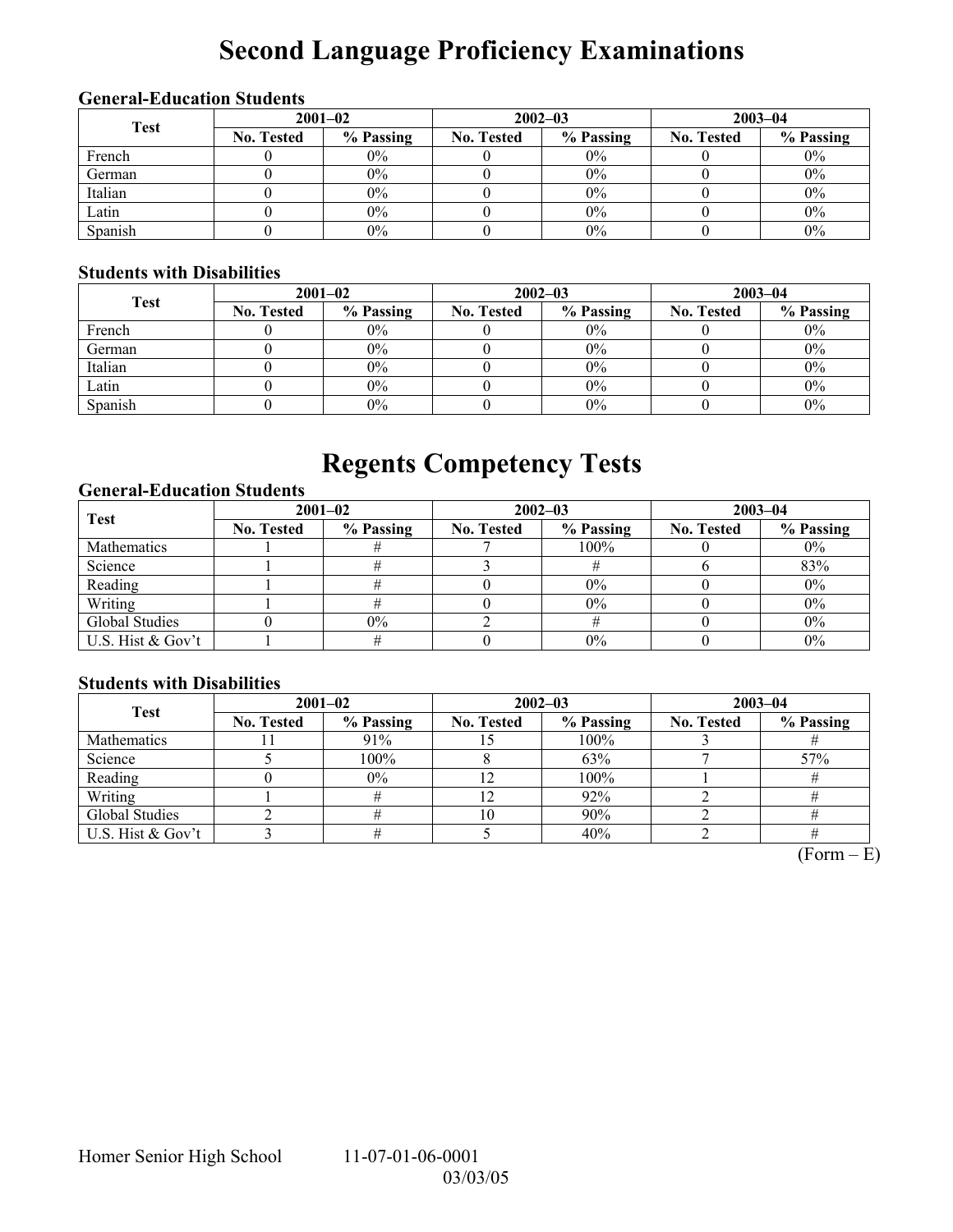# **Second Language Proficiency Examinations**

## **General-Education Students**

| <b>Test</b> | $2001 - 02$       |           |                   | $2002 - 03$ | $2003 - 04$       |           |  |
|-------------|-------------------|-----------|-------------------|-------------|-------------------|-----------|--|
|             | <b>No. Tested</b> | % Passing | <b>No. Tested</b> | % Passing   | <b>No. Tested</b> | % Passing |  |
| French      |                   | $0\%$     |                   | $0\%$       |                   | $0\%$     |  |
| German      |                   | $0\%$     |                   | $0\%$       |                   | $0\%$     |  |
| Italian     |                   | $0\%$     |                   | $0\%$       |                   | $0\%$     |  |
| Latin       |                   | $0\%$     |                   | $0\%$       |                   | $0\%$     |  |
| Spanish     |                   | $0\%$     |                   | 0%          |                   | $0\%$     |  |

## **Students with Disabilities**

| <b>Test</b> | $2001 - 02$       |           |                   | $2002 - 03$ | $2003 - 04$       |           |  |
|-------------|-------------------|-----------|-------------------|-------------|-------------------|-----------|--|
|             | <b>No. Tested</b> | % Passing | <b>No. Tested</b> | % Passing   | <b>No. Tested</b> | % Passing |  |
| French      |                   | $0\%$     |                   | $0\%$       |                   | $0\%$     |  |
| German      |                   | $0\%$     |                   | $0\%$       |                   | $0\%$     |  |
| Italian     |                   | $0\%$     |                   | 0%          |                   | $0\%$     |  |
| Latin       |                   | $0\%$     |                   | 0%          |                   | $0\%$     |  |
| Spanish     |                   | $0\%$     |                   | 0%          |                   | $0\%$     |  |

## **Regents Competency Tests**

## **General-Education Students**

| <b>Test</b>       | $2001 - 02$       |           |                   | $2002 - 03$ | $2003 - 04$       |           |  |
|-------------------|-------------------|-----------|-------------------|-------------|-------------------|-----------|--|
|                   | <b>No. Tested</b> | % Passing | <b>No. Tested</b> | % Passing   | <b>No. Tested</b> | % Passing |  |
| Mathematics       |                   |           |                   | $100\%$     |                   | $0\%$     |  |
| Science           |                   |           |                   |             |                   | 83%       |  |
| Reading           |                   |           |                   | $0\%$       |                   | $0\%$     |  |
| Writing           |                   |           |                   | 0%          |                   | $0\%$     |  |
| Global Studies    |                   | $0\%$     |                   |             |                   | $0\%$     |  |
| U.S. Hist & Gov't |                   |           |                   | 0%          |                   | 0%        |  |

## **Students with Disabilities**

| <b>Test</b>        | $2001 - 02$       |           |                   | $2002 - 03$ | $2003 - 04$       |           |  |
|--------------------|-------------------|-----------|-------------------|-------------|-------------------|-----------|--|
|                    | <b>No. Tested</b> | % Passing | <b>No. Tested</b> | % Passing   | <b>No. Tested</b> | % Passing |  |
| <b>Mathematics</b> |                   | 91%       |                   | 100%        |                   |           |  |
| Science            |                   | 100%      |                   | 63%         |                   | 57%       |  |
| Reading            |                   | $0\%$     |                   | 100%        |                   |           |  |
| Writing            |                   |           |                   | 92%         |                   |           |  |
| Global Studies     |                   |           | 10                | 90%         |                   |           |  |
| U.S. Hist & Gov't  |                   |           |                   | 40%         |                   |           |  |

 $(Form - E)$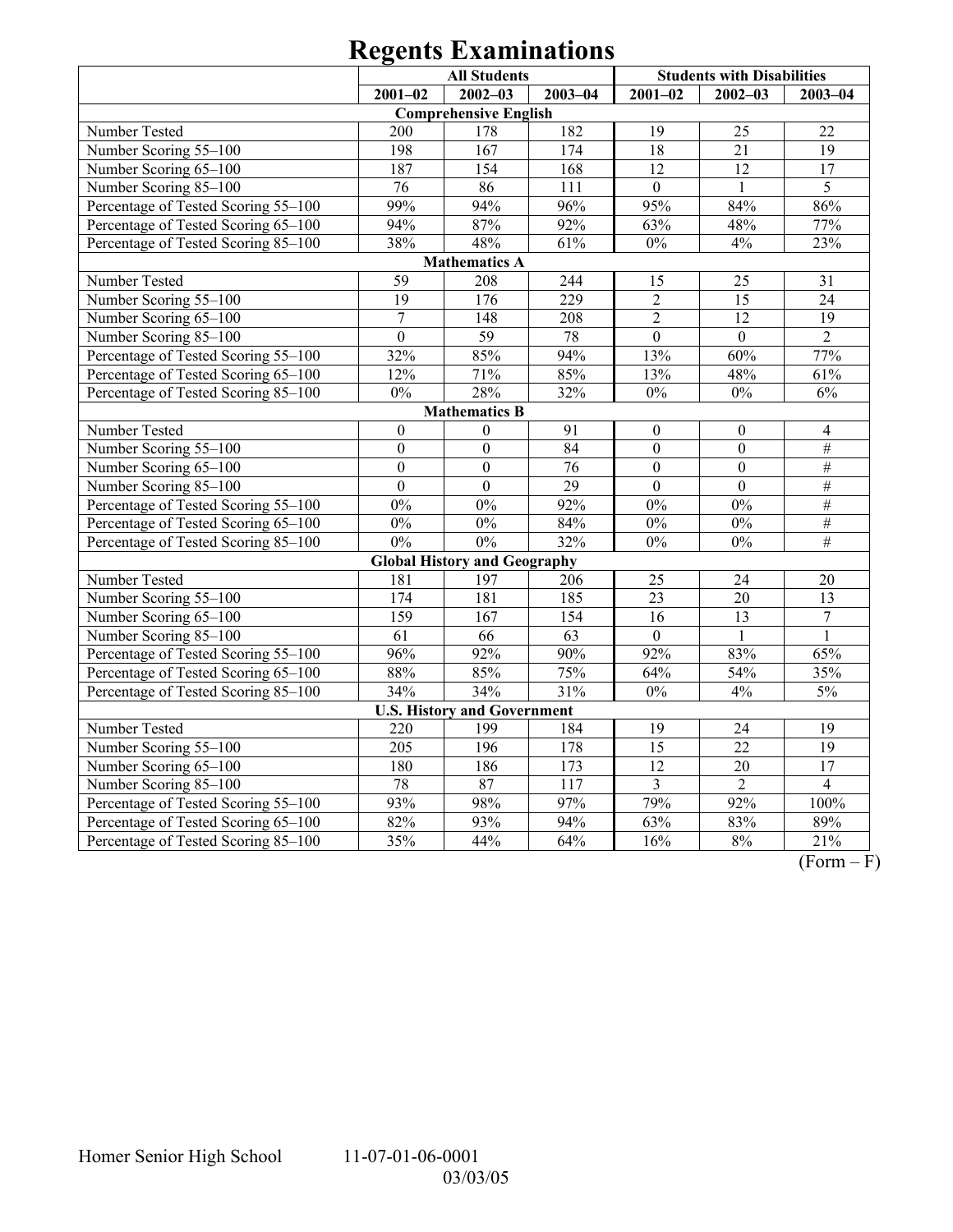|                                     | <b>All Students</b> |                                     |                  | <b>Students with Disabilities</b> |                  |                  |  |  |
|-------------------------------------|---------------------|-------------------------------------|------------------|-----------------------------------|------------------|------------------|--|--|
|                                     | $2001 - 02$         | $2002 - 03$                         | $2003 - 04$      | $2001 - 02$                       | $2002 - 03$      | $2003 - 04$      |  |  |
|                                     |                     | <b>Comprehensive English</b>        |                  |                                   |                  |                  |  |  |
| Number Tested                       | 200                 | 178                                 | 182              | 19                                | 25               | 22               |  |  |
| Number Scoring 55-100               | 198                 | 167                                 | 174              | 18                                | 21               | 19               |  |  |
| Number Scoring 65-100               | 187                 | 154                                 | 168              | $\overline{12}$                   | $\overline{12}$  | $\overline{17}$  |  |  |
| Number Scoring 85-100               | 76                  | 86                                  | 111              | $\overline{0}$                    |                  | 5                |  |  |
| Percentage of Tested Scoring 55-100 | 99%                 | 94%                                 | 96%              | 95%                               | 84%              | 86%              |  |  |
| Percentage of Tested Scoring 65-100 | 94%                 | 87%                                 | 92%              | 63%                               | 48%              | 77%              |  |  |
| Percentage of Tested Scoring 85-100 | 38%                 | 48%                                 | 61%              | $0\%$                             | $4\%$            | 23%              |  |  |
|                                     |                     | <b>Mathematics A</b>                |                  |                                   |                  |                  |  |  |
| Number Tested                       | 59                  | 208                                 | 244              | 15                                | 25               | 31               |  |  |
| Number Scoring 55-100               | 19                  | 176                                 | 229              | $\overline{2}$                    | 15               | $\overline{24}$  |  |  |
| Number Scoring 65-100               | $\boldsymbol{7}$    | 148                                 | 208              | $\overline{2}$                    | 12               | 19               |  |  |
| Number Scoring 85-100               | $\overline{0}$      | 59                                  | 78               | $\overline{0}$                    | $\mathbf{0}$     | $\overline{2}$   |  |  |
| Percentage of Tested Scoring 55-100 | 32%                 | 85%                                 | 94%              | 13%                               | 60%              | 77%              |  |  |
| Percentage of Tested Scoring 65-100 | 12%                 | 71%                                 | 85%              | 13%                               | 48%              | 61%              |  |  |
| Percentage of Tested Scoring 85-100 | $0\%$               | 28%                                 | 32%              | $0\%$                             | $0\%$            | $6\%$            |  |  |
| <b>Mathematics B</b>                |                     |                                     |                  |                                   |                  |                  |  |  |
| Number Tested                       | $\boldsymbol{0}$    | $\boldsymbol{0}$                    | 91               | $\boldsymbol{0}$                  | $\boldsymbol{0}$ | $\overline{4}$   |  |  |
| Number Scoring 55-100               | $\boldsymbol{0}$    | $\overline{0}$                      | 84               | $\overline{0}$                    | $\boldsymbol{0}$ | $\#$             |  |  |
| Number Scoring 65-100               | $\mathbf{0}$        | $\mathbf{0}$                        | 76               | $\mathbf{0}$                      | $\boldsymbol{0}$ | $\#$             |  |  |
| Number Scoring 85-100               | $\mathbf{0}$        | $\boldsymbol{0}$                    | 29               | $\mathbf{0}$                      | $\overline{0}$   | $\#$             |  |  |
| Percentage of Tested Scoring 55-100 | 0%                  | $0\%$                               | 92%              | $0\%$                             | 0%               | $\#$             |  |  |
| Percentage of Tested Scoring 65-100 | $0\%$               | $0\%$                               | 84%              | $0\%$                             | $0\%$            | $\#$             |  |  |
| Percentage of Tested Scoring 85-100 | $0\%$               | $0\%$                               | 32%              | $0\%$                             | $0\%$            | $\overline{\#}$  |  |  |
|                                     |                     | <b>Global History and Geography</b> |                  |                                   |                  |                  |  |  |
| Number Tested                       | 181                 | 197                                 | 206              | 25                                | 24               | 20               |  |  |
| Number Scoring 55-100               | 174                 | 181                                 | 185              | 23                                | 20               | 13               |  |  |
| Number Scoring 65-100               | 159                 | 167                                 | 154              | 16                                | 13               | $\boldsymbol{7}$ |  |  |
| Number Scoring 85-100               | 61                  | 66                                  | 63               | $\boldsymbol{0}$                  | $\mathbf{1}$     | $\mathbf{1}$     |  |  |
| Percentage of Tested Scoring 55-100 | 96%                 | 92%                                 | 90%              | 92%                               | 83%              | 65%              |  |  |
| Percentage of Tested Scoring 65-100 | 88%                 | 85%                                 | 75%              | 64%                               | 54%              | 35%              |  |  |
| Percentage of Tested Scoring 85-100 | 34%                 | 34%                                 | 31%              | $\overline{0\%}$                  | 4%               | 5%               |  |  |
|                                     |                     | <b>U.S. History and Government</b>  |                  |                                   |                  |                  |  |  |
| Number Tested                       | 220                 | 199                                 | 184              | 19                                | 24               | 19               |  |  |
| Number Scoring 55-100               | $\overline{205}$    | 196                                 | 178              | $\overline{15}$                   | $\overline{22}$  | $\overline{19}$  |  |  |
| Number Scoring 65-100               | 180                 | 186                                 | $\overline{173}$ | $\overline{12}$                   | $\overline{20}$  | $\overline{17}$  |  |  |
| Number Scoring 85-100               | 78                  | 87                                  | 117              | 3                                 | $\overline{2}$   | $\overline{4}$   |  |  |
| Percentage of Tested Scoring 55-100 | 93%                 | 98%                                 | 97%              | 79%                               | 92%              | 100%             |  |  |
| Percentage of Tested Scoring 65-100 | 82%                 | 93%                                 | 94%              | 63%                               | 83%              | 89%              |  |  |
| Percentage of Tested Scoring 85-100 | 35%                 | 44%                                 | 64%              | 16%                               | $8\%$            | 21%              |  |  |

 $\overline{(Form - F)}$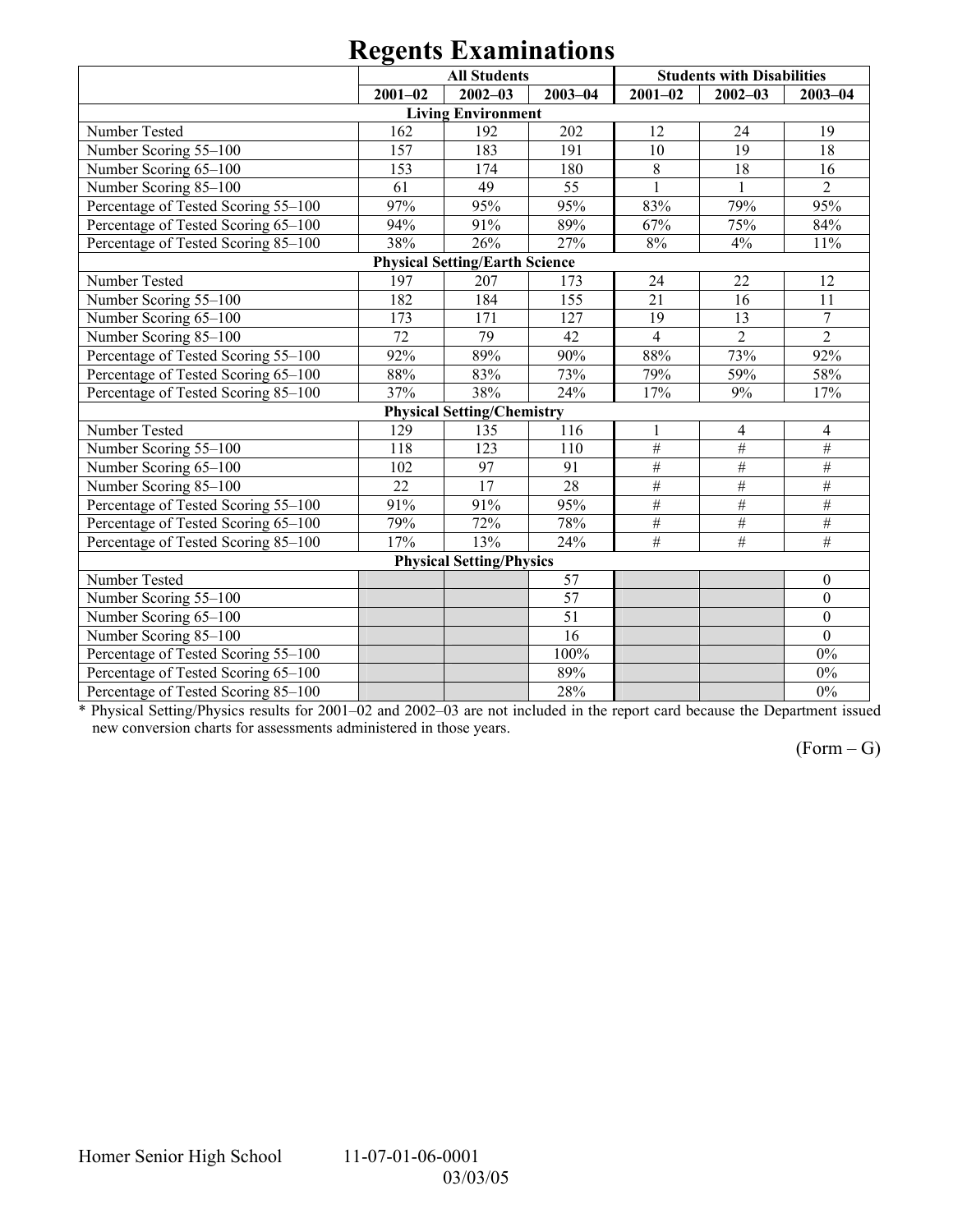|                                     |             | <b>All Students</b>                   |                 | <b>Students with Disabilities</b> |                 |                 |
|-------------------------------------|-------------|---------------------------------------|-----------------|-----------------------------------|-----------------|-----------------|
|                                     | $2001 - 02$ | $2002 - 03$                           | $2003 - 04$     | $2001 - 02$                       | $2002 - 03$     | $2003 - 04$     |
|                                     |             | <b>Living Environment</b>             |                 |                                   |                 |                 |
| Number Tested                       | 162         | 192                                   | 202             | 12                                | 24              | 19              |
| Number Scoring 55-100               | 157         | 183                                   | 191             | 10                                | 19              | 18              |
| Number Scoring 65-100               | 153         | 174                                   | 180             | 8                                 | 18              | 16              |
| Number Scoring 85-100               | 61          | 49                                    | 55              | $\mathbf{1}$                      | $\mathbf{1}$    | $\overline{2}$  |
| Percentage of Tested Scoring 55-100 | 97%         | 95%                                   | 95%             | 83%                               | 79%             | 95%             |
| Percentage of Tested Scoring 65-100 | 94%         | 91%                                   | 89%             | 67%                               | 75%             | 84%             |
| Percentage of Tested Scoring 85-100 | 38%         | 26%                                   | 27%             | $8\%$                             | 4%              | 11%             |
|                                     |             | <b>Physical Setting/Earth Science</b> |                 |                                   |                 |                 |
| Number Tested                       | 197         | 207                                   | 173             | 24                                | 22              | 12              |
| Number Scoring 55-100               | 182         | 184                                   | 155             | 21                                | 16              | 11              |
| Number Scoring 65-100               | 173         | 171                                   | 127             | 19                                | 13              | $\overline{7}$  |
| Number Scoring 85-100               | 72          | 79                                    | 42              | $\overline{4}$                    | $\overline{2}$  | $\overline{2}$  |
| Percentage of Tested Scoring 55-100 | 92%         | 89%                                   | 90%             | 88%                               | 73%             | 92%             |
| Percentage of Tested Scoring 65-100 | 88%         | 83%                                   | 73%             | 79%                               | 59%             | 58%             |
| Percentage of Tested Scoring 85-100 | 37%         | 38%                                   | 24%             | 17%                               | 9%              | 17%             |
|                                     |             | <b>Physical Setting/Chemistry</b>     |                 |                                   |                 |                 |
| Number Tested                       | 129         | 135                                   | 116             | 1                                 | 4               | 4               |
| Number Scoring 55-100               | 118         | 123                                   | 110             | $\overline{\#}$                   | $\overline{\#}$ | $\#$            |
| Number Scoring 65-100               | 102         | 97                                    | 91              | $\#$                              | $\#$            | $\#$            |
| Number Scoring 85-100               | 22          | 17                                    | 28              | $\#$                              | $\#$            | $\#$            |
| Percentage of Tested Scoring 55-100 | 91%         | 91%                                   | 95%             | $\#$                              | $\overline{\#}$ | $\overline{H}$  |
| Percentage of Tested Scoring 65-100 | 79%         | 72%                                   | 78%             | $\#$                              | $\overline{\#}$ | $\#$            |
| Percentage of Tested Scoring 85-100 | 17%         | 13%                                   | 24%             | $\overline{\#}$                   | $\overline{\#}$ | $\overline{\#}$ |
|                                     |             | <b>Physical Setting/Physics</b>       |                 |                                   |                 |                 |
| Number Tested                       |             |                                       | 57              |                                   |                 | $\mathbf{0}$    |
| Number Scoring 55-100               |             |                                       | 57              |                                   |                 | $\overline{0}$  |
| Number Scoring 65-100               |             |                                       | $\overline{51}$ |                                   |                 | $\overline{0}$  |
| Number Scoring 85-100               |             |                                       | 16              |                                   |                 | $\theta$        |
| Percentage of Tested Scoring 55-100 |             |                                       | 100%            |                                   |                 | $0\%$           |
| Percentage of Tested Scoring 65-100 |             |                                       | 89%             |                                   |                 | $0\%$           |
| Percentage of Tested Scoring 85-100 |             |                                       | 28%             |                                   |                 | $0\%$           |

\* Physical Setting/Physics results for 2001–02 and 2002–03 are not included in the report card because the Department issued new conversion charts for assessments administered in those years.

 $(Form - G)$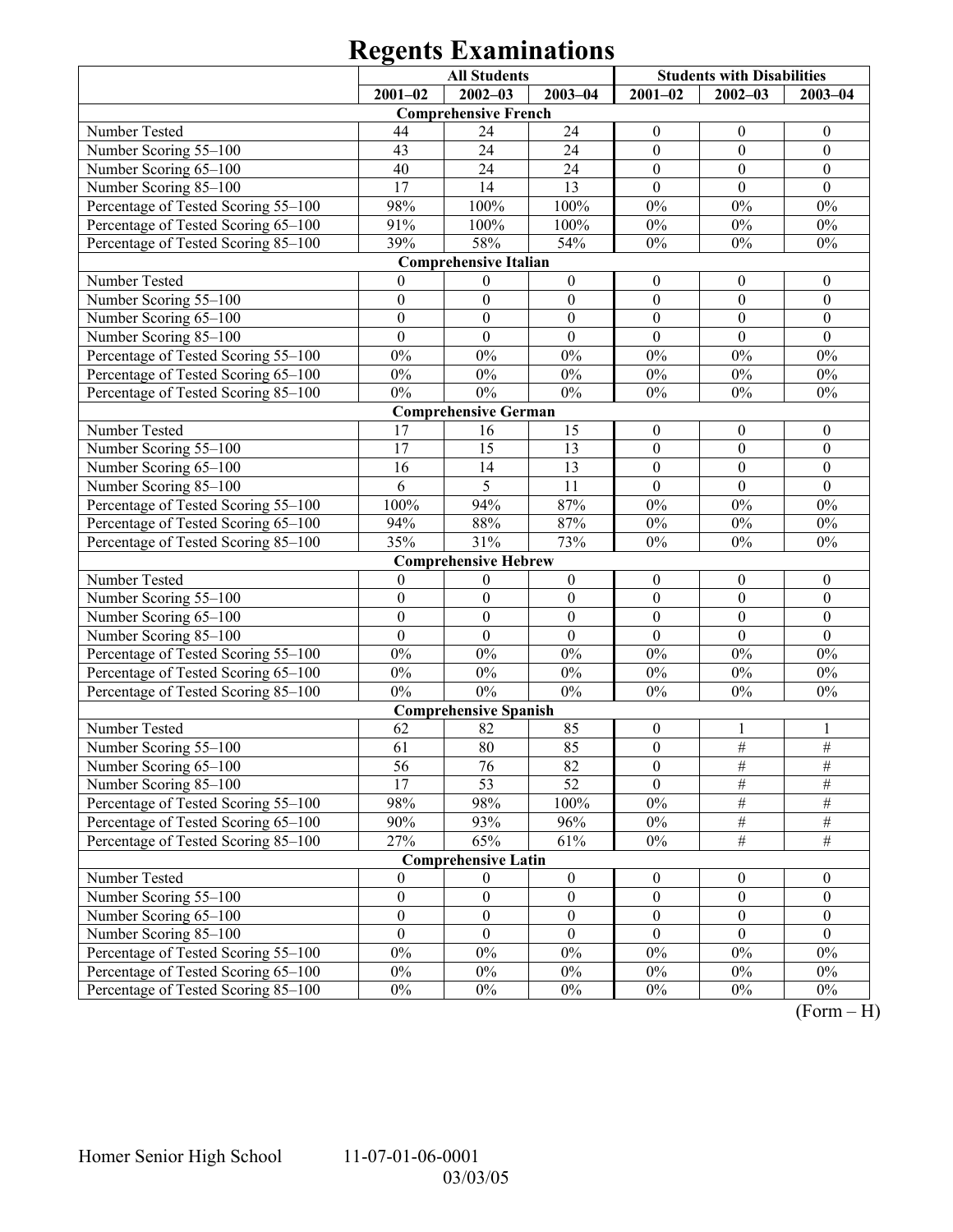|                                     | <b>All Students</b> |                              |                  | <b>Students with Disabilities</b> |                  |                  |
|-------------------------------------|---------------------|------------------------------|------------------|-----------------------------------|------------------|------------------|
|                                     | $2001 - 02$         | $2002 - 03$                  | $2003 - 04$      | $2001 - 02$                       | $2002 - 03$      | $2003 - 04$      |
|                                     |                     | <b>Comprehensive French</b>  |                  |                                   |                  |                  |
| Number Tested                       | 44                  | 24                           | 24               | $\boldsymbol{0}$                  | $\boldsymbol{0}$ | $\boldsymbol{0}$ |
| Number Scoring 55-100               | 43                  | 24                           | 24               | $\boldsymbol{0}$                  | $\mathbf{0}$     | $\boldsymbol{0}$ |
| Number Scoring 65-100               | 40                  | 24                           | 24               | $\boldsymbol{0}$                  | $\boldsymbol{0}$ | $\boldsymbol{0}$ |
| Number Scoring 85-100               | 17                  | 14                           | 13               | $\theta$                          | $\theta$         | $\theta$         |
| Percentage of Tested Scoring 55-100 | 98%                 | 100%                         | 100%             | $0\%$                             | $0\%$            | $0\%$            |
| Percentage of Tested Scoring 65-100 | 91%                 | 100%                         | 100%             | $0\%$                             | $0\%$            | $0\%$            |
| Percentage of Tested Scoring 85-100 | 39%                 | 58%                          | 54%              | $0\%$                             | $0\%$            | $0\%$            |
|                                     |                     | <b>Comprehensive Italian</b> |                  |                                   |                  |                  |
| Number Tested                       | $\overline{0}$      | $\boldsymbol{0}$             | $\boldsymbol{0}$ | $\boldsymbol{0}$                  | $\boldsymbol{0}$ | $\boldsymbol{0}$ |
| Number Scoring 55-100               | $\boldsymbol{0}$    | $\boldsymbol{0}$             | $\boldsymbol{0}$ | $\boldsymbol{0}$                  | $\mathbf{0}$     | $\boldsymbol{0}$ |
| Number Scoring 65-100               | $\boldsymbol{0}$    | $\boldsymbol{0}$             | $\boldsymbol{0}$ | $\boldsymbol{0}$                  | $\boldsymbol{0}$ | $\boldsymbol{0}$ |
| Number Scoring 85-100               | $\overline{0}$      | $\overline{0}$               | $\mathbf{0}$     | $\mathbf{0}$                      | $\mathbf{0}$     | $\mathbf{0}$     |
| Percentage of Tested Scoring 55-100 | $0\%$               | $0\%$                        | $0\%$            | $0\%$                             | $0\%$            | $0\%$            |
| Percentage of Tested Scoring 65-100 | $0\%$               | $0\%$                        | $0\%$            | $0\%$                             | $0\%$            | $0\%$            |
| Percentage of Tested Scoring 85-100 | $0\%$               | $0\%$                        | $0\%$            | $0\%$                             | $0\%$            | $0\%$            |
|                                     |                     | <b>Comprehensive German</b>  |                  |                                   |                  |                  |
| Number Tested                       | 17                  | 16                           | 15               | $\boldsymbol{0}$                  | $\boldsymbol{0}$ | $\boldsymbol{0}$ |
| Number Scoring 55-100               | 17                  | 15                           | 13               | $\boldsymbol{0}$                  | $\mathbf{0}$     | $\boldsymbol{0}$ |
| Number Scoring 65-100               | 16                  | 14                           | 13               | $\boldsymbol{0}$                  | $\boldsymbol{0}$ | $\boldsymbol{0}$ |
| Number Scoring 85-100               | 6                   | 5                            | 11               | $\mathbf{0}$                      | $\mathbf{0}$     | $\mathbf{0}$     |
| Percentage of Tested Scoring 55-100 | 100%                | 94%                          | 87%              | $0\%$                             | $0\%$            | $0\%$            |
| Percentage of Tested Scoring 65-100 | 94%                 | 88%                          | 87%              | $0\%$                             | $0\%$            | $0\%$            |
| Percentage of Tested Scoring 85-100 | 35%                 | 31%                          | 73%              | $0\%$                             | $0\%$            | $0\%$            |
|                                     |                     | <b>Comprehensive Hebrew</b>  |                  |                                   |                  |                  |
| Number Tested                       | $\mathbf{0}$        | $\boldsymbol{0}$             | $\boldsymbol{0}$ | $\boldsymbol{0}$                  | $\boldsymbol{0}$ | $\boldsymbol{0}$ |
| Number Scoring 55-100               | $\boldsymbol{0}$    | $\boldsymbol{0}$             | $\boldsymbol{0}$ | $\boldsymbol{0}$                  | $\mathbf{0}$     | $\boldsymbol{0}$ |
| Number Scoring 65-100               | $\boldsymbol{0}$    | $\boldsymbol{0}$             | $\boldsymbol{0}$ | $\boldsymbol{0}$                  | $\boldsymbol{0}$ | $\boldsymbol{0}$ |
| Number Scoring 85-100               | $\boldsymbol{0}$    | $\boldsymbol{0}$             | $\boldsymbol{0}$ | $\boldsymbol{0}$                  | $\mathbf{0}$     | $\boldsymbol{0}$ |
| Percentage of Tested Scoring 55-100 | $0\%$               | $0\%$                        | $0\%$            | $0\%$                             | $0\%$            | $0\%$            |
| Percentage of Tested Scoring 65-100 | $0\%$               | $0\%$                        | $0\%$            | $0\%$                             | $0\%$            | $0\%$            |
| Percentage of Tested Scoring 85-100 | $0\%$               | $0\%$                        | $0\%$            | $0\%$                             | $0\%$            | $0\%$            |
|                                     |                     | <b>Comprehensive Spanish</b> |                  |                                   |                  |                  |
| Number Tested                       | 62                  | 82                           | 85               | $\boldsymbol{0}$                  | -1               | 1                |
| Number Scoring 55-100               | 61                  | 80                           | 85               | $\boldsymbol{0}$                  | $\frac{1}{2}$    | $\frac{1}{2}$    |
| Number Scoring 65-100               | 56                  | 76                           | 82               | $\boldsymbol{0}$                  | #                | #                |
| Number Scoring 85-100               | 17                  | 53                           | 52               | $\theta$                          | $\#$             | $\#$             |
| Percentage of Tested Scoring 55-100 | 98%                 | 98%                          | 100%             | $0\%$                             | $\frac{1}{2}$    | $\#$             |
| Percentage of Tested Scoring 65-100 | 90%                 | 93%                          | 96%              | $0\%$                             | $\frac{1}{2}$    | $\frac{1}{2}$    |
| Percentage of Tested Scoring 85-100 | 27%                 | 65%                          | 61%              | $0\%$                             | $\#$             | $\overline{\#}$  |
|                                     |                     | <b>Comprehensive Latin</b>   |                  |                                   |                  |                  |
| Number Tested                       | $\mathbf{0}$        | $\bf{0}$                     | $\boldsymbol{0}$ | $\boldsymbol{0}$                  | $\boldsymbol{0}$ | $\boldsymbol{0}$ |
| Number Scoring 55-100               | $\boldsymbol{0}$    | $\boldsymbol{0}$             | $\boldsymbol{0}$ | $\boldsymbol{0}$                  | $\boldsymbol{0}$ | $\boldsymbol{0}$ |
| Number Scoring 65-100               | $\boldsymbol{0}$    | $\boldsymbol{0}$             | $\boldsymbol{0}$ | $\boldsymbol{0}$                  | $\boldsymbol{0}$ | $\boldsymbol{0}$ |
| Number Scoring 85-100               | $\mathbf{0}$        | $\mathbf{0}$                 | $\mathbf{0}$     | $\mathbf{0}$                      | $\theta$         | $\theta$         |
| Percentage of Tested Scoring 55-100 | $0\%$               | $0\%$                        | $0\%$            | $0\%$                             | $0\%$            | $0\%$            |
| Percentage of Tested Scoring 65-100 | $0\%$               | $0\%$                        | $0\%$            | $0\%$                             | $0\%$            | $0\%$            |
| Percentage of Tested Scoring 85-100 | $0\%$               | $0\%$                        | $0\%$            | $0\%$                             | $0\%$            | $0\%$            |

 $(Form - H)$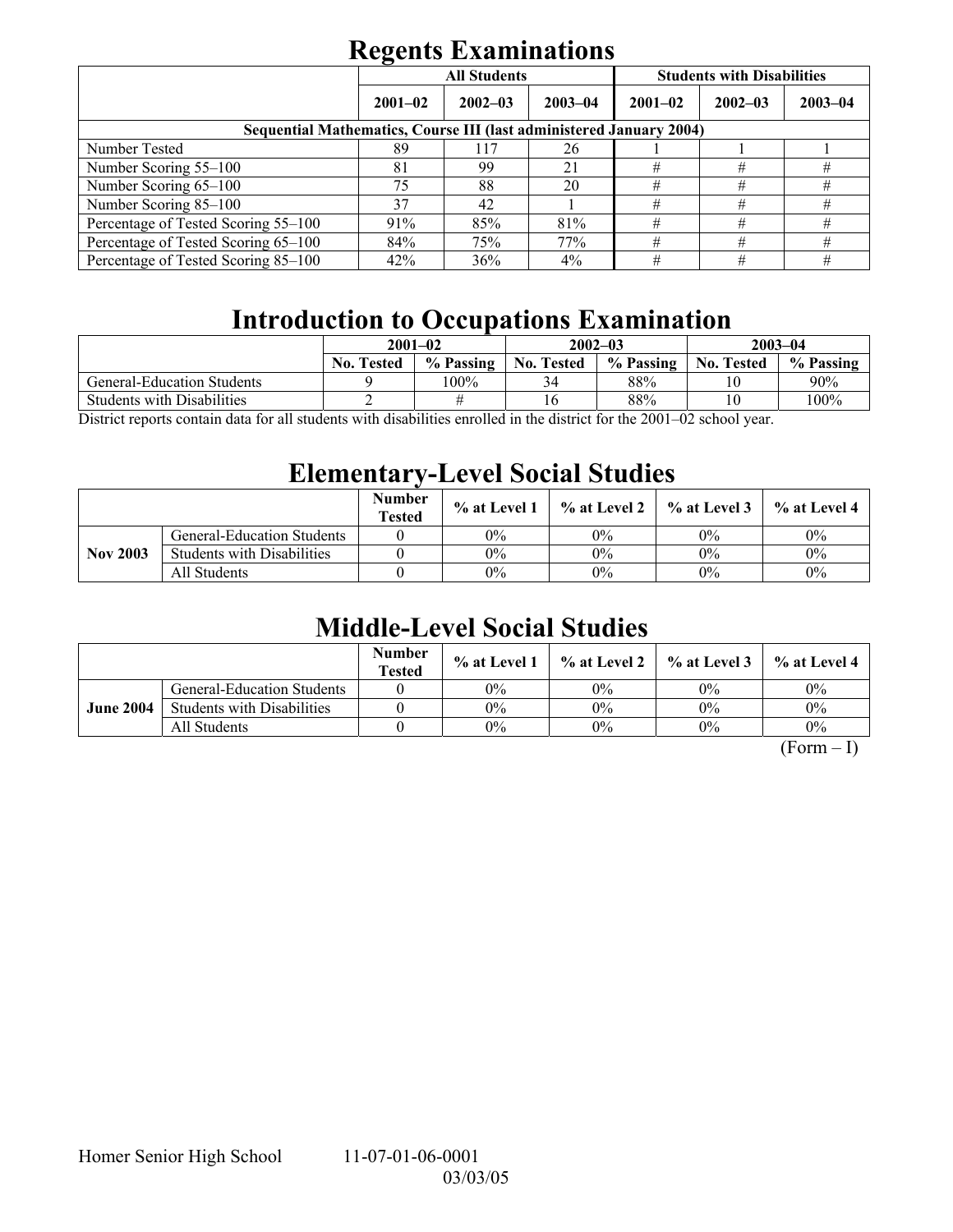|                                                                            | . .         | <b>All Students</b> |             | <b>Students with Disabilities</b> |             |             |  |  |
|----------------------------------------------------------------------------|-------------|---------------------|-------------|-----------------------------------|-------------|-------------|--|--|
|                                                                            | $2001 - 02$ | $2002 - 03$         | $2003 - 04$ | $2001 - 02$                       | $2002 - 03$ | $2003 - 04$ |  |  |
| <b>Sequential Mathematics, Course III (last administered January 2004)</b> |             |                     |             |                                   |             |             |  |  |
| Number Tested                                                              | 89          | 117                 | 26          |                                   |             |             |  |  |
| Number Scoring 55–100                                                      | 81          | 99                  | 21          | #                                 | #           | #           |  |  |
| Number Scoring 65-100                                                      | 75          | 88                  | 20          | #                                 | #           | #           |  |  |
| Number Scoring 85-100                                                      | 37          | 42                  |             | #                                 | #           | #           |  |  |
| Percentage of Tested Scoring 55-100                                        | 91%         | 85%                 | 81%         | #                                 | #           | #           |  |  |
| Percentage of Tested Scoring 65-100                                        | 84%         | 75%                 | 77%         | #                                 | #           | #           |  |  |
| Percentage of Tested Scoring 85-100                                        | 42%         | 36%                 | $4\%$       | #                                 | #           | #           |  |  |

## **Introduction to Occupations Examination**

| $2001 - 02$       |           |                   |           | $2003 - 04$       |           |
|-------------------|-----------|-------------------|-----------|-------------------|-----------|
| <b>No. Tested</b> | % Passing | <b>No. Tested</b> | % Passing | <b>No. Tested</b> | % Passing |
|                   | 100%      | 34                | 88%       |                   | $90\%$    |
|                   |           |                   | 88%       | 10                | $100\%$   |
|                   |           |                   |           | $2002 - 03$       |           |

District reports contain data for all students with disabilities enrolled in the district for the 2001–02 school year.

## **Elementary-Level Social Studies**

|                 |                                   | <b>Number</b><br><b>Tested</b> | $%$ at Level 1 | % at Level 2 | $%$ at Level 3 | % at Level 4 |
|-----------------|-----------------------------------|--------------------------------|----------------|--------------|----------------|--------------|
|                 | General-Education Students        |                                | 0%             | 0%           | 0%             | $0\%$        |
| <b>Nov 2003</b> | <b>Students with Disabilities</b> |                                | 0%             | 0%           | $0\%$          | $0\%$        |
|                 | All Students                      |                                | 0%             | 0%           | $0\%$          | $0\%$        |

## **Middle-Level Social Studies**

|                  |                                   | <b>Number</b><br><b>Tested</b> | $\%$ at Level 1 |       | $\%$ at Level 2 $\%$ at Level 3 | $\%$ at Level 4 |
|------------------|-----------------------------------|--------------------------------|-----------------|-------|---------------------------------|-----------------|
|                  | <b>General-Education Students</b> |                                | 0%              | 0%    | $0\%$                           | $0\%$           |
| <b>June 2004</b> | <b>Students with Disabilities</b> |                                | 0%              | 0%    | $0\%$                           | $0\%$           |
|                  | All Students                      |                                | 0%              | $0\%$ | $0\%$                           | $0\%$           |